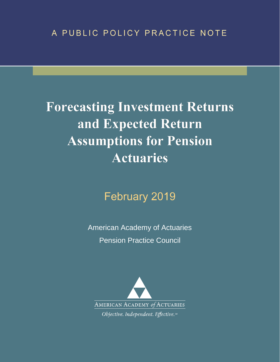# A PUBLIC POLICY PRACTICE NOTE

# **Forecasting Investment Returns** and Expected Return **Assumptions for Pension Actuaries**

# February 2019

American Academy of Actuaries Pension Practice Council

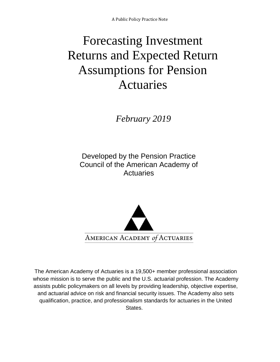# Forecasting Investment Returns and Expected Return Assumptions for Pension Actuaries

 *February 2019* 

Developed by the Pension Practice Council of the American Academy of **Actuaries** 



The American Academy of Actuaries is a 19,500+ member professional association whose mission is to serve the public and the U.S. actuarial profession. The Academy assists public policymakers on all levels by providing leadership, objective expertise, and actuarial advice on risk and financial security issues. The Academy also sets qualification, practice, and professionalism standards for actuaries in the United States.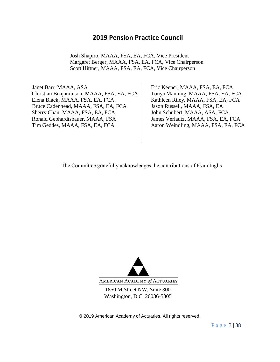# **2019 Pension Practice Council**

Josh Shapiro, MAAA, FSA, EA, FCA, Vice President Margaret Berger, MAAA, FSA, EA, FCA, Vice Chairperson Scott Hittner, MAAA, FSA, EA, FCA, Vice Chairperson

 Janet Barr, MAAA, ASA Christian Benjaminson, MAAA, FSA, EA, FCA Elena Black, MAAA, FSA, EA, FCA Kathleen Riley, MAAA, FSA, EA, FCA Bruce Cadenhead, MAAA, FSA, EA, FCA Jason Russell, MAAA, FSA, EA Sherry Chan, MAAA, FSA, EA, FCA John Schubert, MAAA, ASA, FCA Ronald Gebhardtsbauer, MAAA, FSA James Verlautz, MAAA, FSA, EA, FCA Tim Geddes, MAAA, FSA, EA, FCA Aaron Weindling, MAAA, FSA, EA, FCA

Eric Keener, MAAA, FSA, EA, FCA Tonya Manning, MAAA, FSA, EA, FCA

The Committee gratefully acknowledges the contributions of Evan Inglis



1850 M Street NW, Suite 300 Washington, D.C. 20036-5805

© 2019 American Academy of Actuaries. All rights reserved.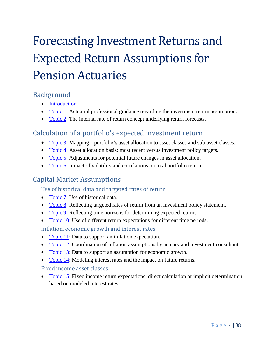# Forecasting Investment Returns and Expected Return Assumptions for Pension Actuaries

# <span id="page-3-0"></span>Background

- [Introduction](#page-5-0)
- [Topic 1:](#page-6-0) Actuarial professional guidance regarding the investment return assumption.
- [Topic 2:](#page-6-1) The internal rate of return concept underlying return forecasts.

# Calculation of a portfolio's expected investment return

- [Topic 3:](#page-7-0) Mapping a portfolio's asset allocation to asset classes and sub-asset classes.
- [Topic 4:](#page-9-0) Asset allocation basis: most recent versus investment policy targets.
- [Topic 5:](#page-10-0) Adjustments for potential future changes in asset allocation.
- [Topic 6:](#page-12-0) Impact of volatility and correlations on total portfolio return.

# Capital Market Assumptions

# Use of historical data and targeted rates of return

- [Topic 7:](#page-14-0) Use of historical data.
- [Topic 8:](#page-15-0) Reflecting targeted rates of return from an investment policy statement.
- [Topic 9:](#page-15-1) Reflecting time horizons for determining expected returns.
- [Topic 10:](#page-16-0) Use of different return expectations for different time periods.

# Inflation, economic growth and interest rates

- [Topic 11:](#page-17-0) Data to support an inflation expectation.
- [Topic 12:](#page-17-1) Coordination of inflation assumptions by actuary and investment consultant.
- [Topic 13:](#page-19-0) Data to support an assumption for economic growth.
- [Topic 14:](#page-19-1) Modeling interest rates and the impact on future returns.

# Fixed income asset classes

• [Topic 15:](#page-20-0) Fixed income return expectations: direct calculation or implicit determination based on modeled interest rates.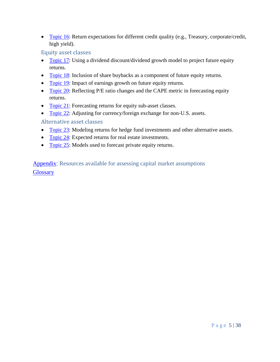• [Topic 16:](#page-21-0) Return expectations for different credit quality (e.g., Treasury, corporate/credit, high yield).

Equity asset classes

- [Topic 17:](#page-22-0) Using a dividend discount/dividend growth model to project future equity returns.
- [Topic 18:](#page-23-0) Inclusion of share buybacks as a component of future equity returns.
- [Topic 19:](#page-23-1) Impact of earnings growth on future equity returns.
- [Topic 20:](#page-24-0) Reflecting P/E ratio changes and the CAPE metric in forecasting equity returns.
- [Topic 21:](#page-25-0) Forecasting returns for equity sub-asset classes.
- [Topic 22:](#page-25-1) Adjusting for currency/foreign exchange for non-U.S. assets.

Alternative asset classes

- [Topic 23:](#page-26-0) Modeling returns for hedge fund investments and other alternative assets.
- [Topic 24:](#page-27-0) Expected returns for real estate investments.
- [Topic 25:](#page-28-0) Models used to forecast private equity returns.

[Appendix:](#page-28-1) Resources available for assessing capital market assumptions **[Glossary](#page-30-0)**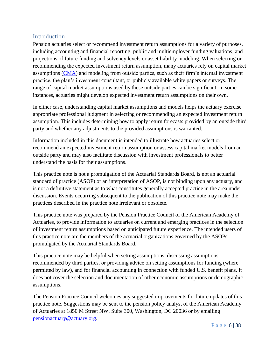## <span id="page-5-0"></span>Introduction

Pension actuaries select or recommend investment return assumptions for a variety of purposes, including accounting and financial reporting, public and multiemployer funding valuations, and projections of future funding and solvency levels or asset liability modeling. When selecting or recommending the expected investment return assumption, many actuaries rely on capital market assumptions [\(CMA\)](#page-31-0) and modeling from outside parties, such as their firm's internal investment practice, the plan's investment consultant, or publicly available white papers or surveys. The range of capital market assumptions used by these outside parties can be significant. In some instances, actuaries might develop expected investment return assumptions on their own.

In either case, understanding capital market assumptions and models helps the actuary exercise appropriate professional judgment in selecting or recommending an expected investment return assumption. This includes determining how to apply return forecasts provided by an outside third party and whether any adjustments to the provided assumptions is warranted.

Information included in this document is intended to illustrate how actuaries select or recommend an expected investment return assumption or assess capital market models from an outside party and may also facilitate discussion with investment professionals to better understand the basis for their assumptions.

This practice note is not a promulgation of the Actuarial Standards Board, is not an actuarial standard of practice (ASOP) or an interpretation of ASOP, is not binding upon any actuary, and is not a definitive statement as to what constitutes generally accepted practice in the area under discussion. Events occurring subsequent to the publication of this practice note may make the practices described in the practice note irrelevant or obsolete.

This practice note was prepared by the Pension Practice Council of the American Academy of Actuaries, to provide information to actuaries on current and emerging practices in the selection of investment return assumptions based on anticipated future experience. The intended users of this practice note are the members of the actuarial organizations governed by the ASOPs promulgated by the Actuarial Standards Board.

This practice note may be helpful when setting assumptions, discussing assumptions recommended by third parties, or providing advice on setting assumptions for funding (where permitted by law), and for financial accounting in connection with funded U.S. benefit plans. It does not cover the selection and documentation of other economic assumptions or demographic assumptions.

The Pension Practice Council welcomes any suggested improvements for future updates of this practice note. Suggestions may be sent to the pension policy analyst of the American Academy of Actuaries at 1850 M Street NW, Suite 300, Washington, DC 20036 or by emailing [pensionactuary@actuary.org.](mailto:pensionactuary@actuary.org)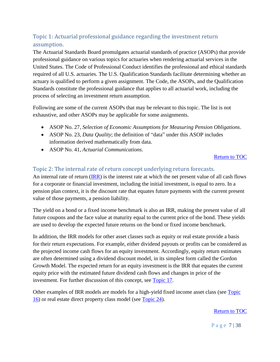# <span id="page-6-0"></span>Topic 1: Actuarial professional guidance regarding the investment return assumption.

The Actuarial Standards Board promulgates actuarial standards of practice (ASOPs) that provide professional guidance on various topics for actuaries when rendering actuarial services in the United States. The Code of Professional Conduct identifies the professional and ethical standards required of all U.S. actuaries. The U.S. Qualification Standards facilitate determining whether an actuary is qualified to perform a given assignment. The Code, the ASOPs, and the Qualification Standards constitute the professional guidance that applies to all actuarial work, including the process of selecting an investment return assumption.

Following are some of the current ASOPs that may be relevant to this topic. The list is not exhaustive, and other ASOPs may be applicable for some assignments.

- ASOP No. 27, *Selection of Economic Assumptions for Measuring Pension Obligations*.
- ASOP No. 23, *Data Quality*; the definition of "data" under this ASOP includes information derived mathematically from data.
- ASOP No. 41, *Actuarial Communications*.

#### [Return to TOC](#page-3-0)

#### <span id="page-6-1"></span>Topic 2: The internal rate of return concept underlying return forecasts.

An internal rate of return [\(IRR\)](#page-33-0) is the interest rate at which the net present value of all cash flows for a corporate or financial investment, including the initial investment, is equal to zero. In a pension plan context, it is the discount rate that equates future payments with the current present value of those payments, a pension liability.

The yield on a bond or a fixed income benchmark is also an IRR, making the present value of all future coupons and the face value at maturity equal to the current price of the bond. These yields are used to develop the expected future returns on the bond or fixed income benchmark.

In addition, the IRR models for other asset classes such as equity or real estate provide a basis for their return expectations. For example, either dividend payouts or profits can be considered as the projected income cash flows for an equity investment. Accordingly, equity return estimates are often determined using a dividend discount model, in its simplest form called the Gordon Growth Model. The expected return for an equity investment is the IRR that equates the current equity price with the estimated future dividend cash flows and changes in price of the investment. For further discussion of this concept, see [Topic 17.](#page-22-0)

Other examples of IRR models are models for a high-yield fixed income asset class (see Topic 16) or real estate direct property class model (see [Topic](#page-27-0) 24).

[Return to TOC](#page-3-0)

P a g e 7 | 38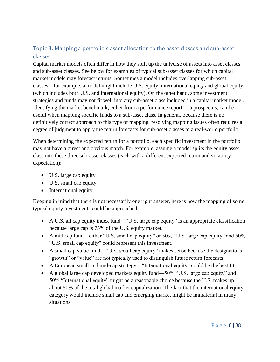# <span id="page-7-0"></span>Topic 3: Mapping a portfolio's asset allocation to the asset classes and sub-asset classes.

Capital market models often differ in how they split up the universe of assets into asset classes and sub-asset classes. See below for examples of typical sub-asset classes for which capital market models may forecast returns. Sometimes a model includes overlapping sub-asset classes—for example, a model might include U.S. equity, international equity and global equity (which includes both U.S. and international equity). On the other hand, some investment strategies and funds may not fit well into any sub-asset class included in a capital market model. Identifying the market benchmark, either from a performance report or a prospectus, can be useful when mapping specific funds to a sub-asset class. In general, because there is no definitively correct approach to this type of mapping, resolving mapping issues often requires a degree of judgment to apply the return forecasts for sub-asset classes to a real-world portfolio.

When determining the expected return for a portfolio, each specific investment in the portfolio may not have a direct and obvious match. For example, assume a model splits the equity asset class into these three sub-asset classes (each with a different expected return and volatility expectation):

- U.S. large cap equity
- U.S. small cap equity
- International equity

Keeping in mind that there is not necessarily one right answer, here is how the mapping of some typical equity investments could be approached:

- A U.S. all cap equity index fund—"U.S. large cap equity" is an appropriate classification because large cap is 75% of the U.S. equity market.
- A mid cap fund—either "U.S. small cap equity" or 50% "U.S. large cap equity" and 50% "U.S. small cap equity" could represent this investment.
- A small cap value fund—"U.S. small cap equity" makes sense because the designations "growth" or "value" are not typically used to distinguish future return forecasts.
- A European small and mid-cap strategy—"International equity" could be the best fit.
- A global large cap developed markets equity fund—50% "U.S. large cap equity" and 50% "International equity" might be a reasonable choice because the U.S. makes up about 50% of the total global market capitalization. The fact that the international equity category would include small cap and emerging market might be immaterial in many situations.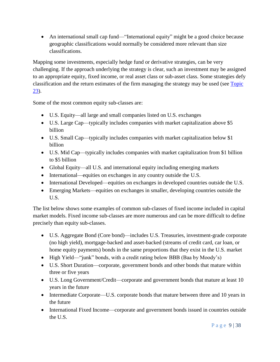• An international small cap fund—"International equity" might be a good choice because geographic classifications would normally be considered more relevant than size classifications.

Mapping some investments, especially hedge fund or derivative strategies, can be very challenging. If the approach underlying the strategy is clear, such an investment may be assigned to an appropriate equity, fixed income, or real asset class or sub-asset class. Some strategies defy classification and the return estimates of the firm managing the strategy may be used (see [Topic](#page-26-0)  [23\)](#page-26-0).

Some of the most common equity sub-classes are:

- U.S. Equity—all large and small companies listed on U.S. exchanges
- U.S. Large Cap—typically includes companies with market capitalization above \$5 billion
- U.S. Small Cap—typically includes companies with market capitalization below \$1 billion
- U.S. Mid Cap—typically includes companies with market capitalization from \$1 billion to \$5 billion
- Global Equity—all U.S. and international equity including emerging markets
- International—equities on exchanges in any country outside the U.S.
- International Developed—equities on exchanges in developed countries outside the U.S.
- Emerging Markets—equities on exchanges in smaller, developing countries outside the U.S.

The list below shows some examples of common sub-classes of fixed income included in capital market models. Fixed income sub-classes are more numerous and can be more difficult to define precisely than equity sub-classes.

- U.S. Aggregate Bond (Core bond)—includes U.S. Treasuries, investment-grade corporate (no high yield), mortgage-backed and asset-backed (streams of credit card, car loan, or home equity payments) bonds in the same proportions that they exist in the U.S. market
- High Yield—"junk" bonds, with a credit rating below BBB (Baa by Moody's)
- U.S. Short Duration—corporate, government bonds and other bonds that mature within three or five years
- U.S. Long Government/Credit—corporate and government bonds that mature at least 10 years in the future
- Intermediate Corporate—U.S. corporate bonds that mature between three and 10 years in the future
- International Fixed Income—corporate and government bonds issued in countries outside the U.S.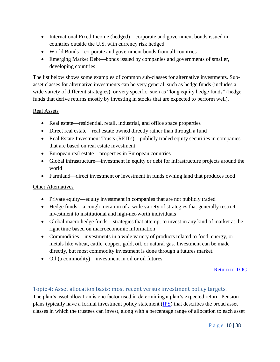- International Fixed Income (hedged)—corporate and government bonds issued in countries outside the U.S. with currency risk hedged
- World Bonds—corporate and government bonds from all countries
- Emerging Market Debt—bonds issued by companies and governments of smaller, developing countries

The list below shows some examples of common sub-classes for alternative investments. Subasset classes for alternative investments can be very general, such as hedge funds (includes a wide variety of different strategies), or very specific, such as "long equity hedge funds" (hedge funds that derive returns mostly by investing in stocks that are expected to perform well).

#### Real Assets

- Real estate—residential, retail, industrial, and office space properties
- Direct real estate—real estate owned directly rather than through a fund
- Real Estate Investment Trusts (REITs)—publicly traded equity securities in companies that are based on real estate investment
- European real estate—properties in European countries
- Global infrastructure—investment in equity or debt for infrastructure projects around the world
- Farmland—direct investment or investment in funds owning land that produces food

#### Other Alternatives

- Private equity—equity investment in companies that are not publicly traded
- Hedge funds—a conglomeration of a wide variety of strategies that generally restrict investment to institutional and high-net-worth individuals
- Global macro hedge funds—strategies that attempt to invest in any kind of market at the right time based on macroeconomic information
- Commodities—investments in a wide variety of products related to food, energy, or metals like wheat, cattle, copper, gold, oil, or natural gas. Investment can be made directly, but most commodity investment is done through a futures market.
- Oil (a commodity)—investment in oil or oil futures

[Return to TOC](#page-3-0)

## <span id="page-9-0"></span>Topic 4: Asset allocation basis: most recent versus investment policy targets.

The plan's asset allocation is one factor used in determining a plan's expected return. Pension plans typically have a formal investment policy statement [\(IPS\)](#page-31-0) that describes the broad asset classes in which the trustees can invest, along with a percentage range of allocation to each asset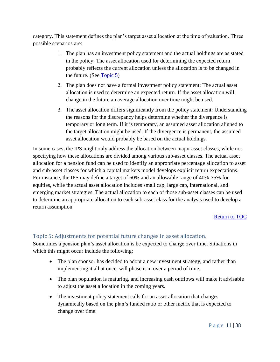category. This statement defines the plan's target asset allocation at the time of valuation. Three possible scenarios are:

- 1. The plan has an investment policy statement and the actual holdings are as stated in the policy: The asset allocation used for determining the expected return probably reflects the current allocation unless the allocation is to be changed in the future. (See [Topic](#page-10-0) 5)
- 2. The plan does not have a formal investment policy statement: The actual asset allocation is used to determine an expected return. If the asset allocation will change in the future an average allocation over time might be used.
- 3. The asset allocation differs significantly from the policy statement: Understanding the reasons for the discrepancy helps determine whether the divergence is temporary or long term. If it is temporary, an assumed asset allocation aligned to the target allocation might be used. If the divergence is permanent, the assumed asset allocation would probably be based on the actual holdings.

In some cases, the IPS might only address the allocation between major asset classes, while not specifying how these allocations are divided among various sub-asset classes. The actual asset allocation for a pension fund can be used to identify an appropriate percentage allocation to asset and sub-asset classes for which a capital markets model develops explicit return expectations. For instance, the IPS may define a target of 60% and an allowable range of 40%-75% for equities, while the actual asset allocation includes small cap, large cap, international, and emerging market strategies. The actual allocation to each of those sub-asset classes can be used to determine an appropriate allocation to each sub-asset class for the analysis used to develop a return assumption.

#### [Return to TOC](#page-3-0)

## <span id="page-10-0"></span>Topic 5: Adjustments for potential future changes in asset allocation.

Sometimes a pension plan's asset allocation is be expected to change over time. Situations in which this might occur include the following:

- The plan sponsor has decided to adopt a new investment strategy, and rather than implementing it all at once, will phase it in over a period of time.
- The plan population is maturing, and increasing cash outflows will make it advisable to adjust the asset allocation in the coming years.
- The investment policy statement calls for an asset allocation that changes dynamically based on the plan's funded ratio or other metric that is expected to change over time.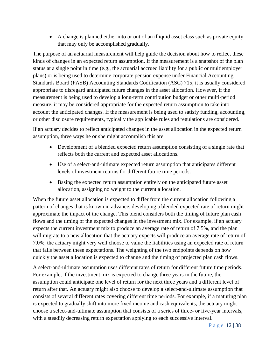• A change is planned either into or out of an illiquid asset class such as private equity that may only be accomplished gradually.

The purpose of an actuarial measurement will help guide the decision about how to reflect these kinds of changes in an expected return assumption. If the measurement is a snapshot of the plan status at a single point in time (e.g., the actuarial accrued liability for a public or multiemployer plans) or is being used to determine corporate pension expense under Financial Accounting Standards Board (FASB) Accounting Standards Codification (ASC) 715, it is usually considered appropriate to disregard anticipated future changes in the asset allocation. However, if the measurement is being used to develop a long-term contribution budget or other multi-period measure, it may be considered appropriate for the expected return assumption to take into account the anticipated changes. If the measurement is being used to satisfy funding, accounting, or other disclosure requirements, typically the applicable rules and regulations are considered.

If an actuary decides to reflect anticipated changes in the asset allocation in the expected return assumption, three ways he or she might accomplish this are:

- Development of a blended expected return assumption consisting of a single rate that reflects both the current and expected asset allocations.
- Use of a select-and-ultimate expected return assumption that anticipates different levels of investment returns for different future time periods.
- Basing the expected return assumption entirely on the anticipated future asset allocation, assigning no weight to the current allocation.

When the future asset allocation is expected to differ from the current allocation following a pattern of changes that is known in advance, developing a blended expected rate of return might approximate the impact of the change. This blend considers both the timing of future plan cash flows and the timing of the expected changes in the investment mix. For example, if an actuary expects the current investment mix to produce an average rate of return of 7.5%, and the plan will migrate to a new allocation that the actuary expects will produce an average rate of return of 7.0%, the actuary might very well choose to value the liabilities using an expected rate of return that falls between these expectations. The weighting of the two endpoints depends on how quickly the asset allocation is expected to change and the timing of projected plan cash flows.

A select-and-ultimate assumption uses different rates of return for different future time periods. For example, if the investment mix is expected to change three years in the future, the assumption could anticipate one level of return for the next three years and a different level of return after that. An actuary might also choose to develop a select-and-ultimate assumption that consists of several different rates covering different time periods. For example, if a maturing plan is expected to gradually shift into more fixed income and cash equivalents, the actuary might choose a select-and-ultimate assumption that consists of a series of three- or five-year intervals, with a steadily decreasing return expectation applying to each successive interval.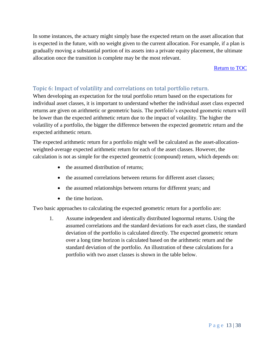In some instances, the actuary might simply base the expected return on the asset allocation that is expected in the future, with no weight given to the current allocation. For example, if a plan is gradually moving a substantial portion of its assets into a private equity placement, the ultimate allocation once the transition is complete may be the most relevant.

[Return to TOC](#page-3-0)

# <span id="page-12-0"></span>Topic 6: Impact of volatility and correlations on total portfolio return.

When developing an expectation for the total portfolio return based on the expectations for individual asset classes, it is important to understand whether the individual asset class expected returns are given on arithmetic or geometric basis. The portfolio's expected geometric return will be lower than the expected arithmetic return due to the impact of volatility. The higher the volatility of a portfolio, the bigger the difference between the expected geometric return and the expected arithmetic return.

The expected arithmetic return for a portfolio might well be calculated as the asset-allocationweighted-average expected arithmetic return for each of the asset classes. However, the calculation is not as simple for the expected geometric (compound) return, which depends on:

- the assumed distribution of returns:
- the assumed correlations between returns for different asset classes:
- the assumed relationships between returns for different years; and
- the time horizon.

Two basic approaches to calculating the expected geometric return for a portfolio are:

1. Assume independent and identically distributed lognormal returns. Using the assumed correlations and the standard deviations for each asset class, the standard deviation of the portfolio is calculated directly. The expected geometric return over a long time horizon is calculated based on the arithmetic return and the standard deviation of the portfolio. An illustration of these calculations for a portfolio with two asset classes is shown in the table below.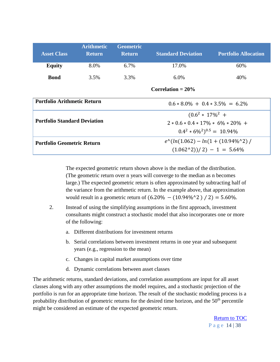| <b>Asset Class</b>                  | <b>Arithmetic</b><br><b>Return</b> | <b>Geometric</b><br><b>Return</b>              | <b>Standard Deviation</b>  | <b>Portfolio Allocation</b> |  |
|-------------------------------------|------------------------------------|------------------------------------------------|----------------------------|-----------------------------|--|
| <b>Equity</b>                       | 8.0%                               | $6.7\%$                                        | 17.0%                      | 60%                         |  |
| <b>Bond</b>                         | 3.5%                               | 3.3%                                           | $6.0\%$                    | 40%                         |  |
|                                     |                                    |                                                | Correlation $= 20\%$       |                             |  |
| <b>Portfolio Arithmetic Return</b>  |                                    | $0.6 * 8.0\% + 0.4 * 3.5\% = 6.2\%$            |                            |                             |  |
| <b>Portfolio Standard Deviation</b> |                                    |                                                | $(0.6^2 * 17\%^2 +$        |                             |  |
|                                     |                                    | $2 * 0.6 * 0.4 * 17\% * 6\% * 20\% +$          |                            |                             |  |
|                                     |                                    | $0.4^2 * 6\%^2$ <sup>0.5</sup> = 10.94%        |                            |                             |  |
| <b>Portfolio Geometric Return</b>   |                                    | $e^{\Lambda}(ln(1.062) - ln(1 + (10.94\%^2))/$ |                            |                             |  |
|                                     |                                    |                                                | $(1.0622))/2) - 1 = 5.64%$ |                             |  |

The expected geometric return shown above is the median of the distribution. (The geometric return over n years will converge to the median as n becomes large.) The expected geometric return is often approximated by subtracting half of the variance from the arithmetic return. In the example above, that approximation would result in a geometric return of  $(6.20\% - (10.94\% \text{°2}) / 2) = 5.60\%$ .

- 2. Instead of using the simplifying assumptions in the first approach, investment consultants might construct a stochastic model that also incorporates one or more of the following:
	- a. Different distributions for investment returns
	- b. Serial correlations between investment returns in one year and subsequent years (e.g., regression to the mean)
	- c. Changes in capital market assumptions over time
	- d. Dynamic correlations between asset classes

The arithmetic returns, standard deviations, and correlation assumptions are input for all asset classes along with any other assumptions the model requires, and a stochastic projection of the portfolio is run for an appropriate time horizon. The result of the stochastic modeling process is a probability distribution of geometric returns for the desired time horizon, and the 50<sup>th</sup> percentile might be considered an estimate of the expected geometric return.

> P a g e 14 | 38 [Return to TOC](#page-3-0)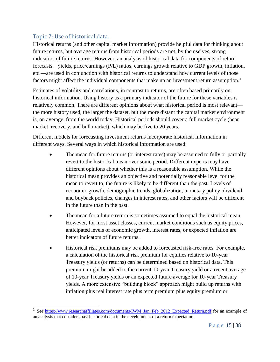# <span id="page-14-0"></span>Topic 7: Use of historical data.

 $\overline{a}$ 

Historical returns (and other capital market information) provide helpful data for thinking about future returns, but average returns from historical periods are not, by themselves, strong indicators of future returns. However, an analysis of historical data for components of return forecasts—yields, price/earnings (P/E) ratios, earnings growth relative to GDP growth, inflation, etc.—are used in conjunction with historical returns to understand how current levels of those factors might affect the individual components that make up an investment return assumption.<sup>1</sup>

Estimates of volatility and correlations, in contrast to returns, are often based primarily on historical information. Using history as a primary indicator of the future for these variables is relatively common. There are different opinions about what historical period is most relevant the more history used, the larger the dataset, but the more distant the capital market environment is, on average, from the world today. Historical periods should cover a full market cycle (bear market, recovery, and bull market), which may be five to 20 years.

Different models for forecasting investment returns incorporate historical information in different ways. Several ways in which historical information are used:

- The mean for future returns (or interest rates) may be assumed to fully or partially revert to the historical mean over some period. Different experts may have different opinions about whether this is a reasonable assumption. While the historical mean provides an objective and potentially reasonable level for the mean to revert to, the future is likely to be different than the past. Levels of economic growth, demographic trends, globalization, monetary policy, dividend and buyback policies, changes in interest rates, and other factors will be different in the future than in the past.
- The mean for a future return is sometimes assumed to equal the historical mean. However, for most asset classes, current market conditions such as equity prices, anticipated levels of economic growth, interest rates, or expected inflation are better indicators of future returns.
- Historical risk premiums may be added to forecasted risk-free rates. For example, a calculation of the historical risk premium for equities relative to 10-year Treasury yields (or returns) can be determined based on historical data. This premium might be added to the current 10-year Treasury yield or a recent average of 10-year Treasury yields or an expected future average for 10-year Treasury yields. A more extensive "building block" approach might build up returns with inflation plus real interest rate plus term premium plus equity premium or

<sup>&</sup>lt;sup>1</sup> See https://www.researchaffiliates.com/documents/IWM Jan Feb 2012 Expected Return.pdf for an example of an analysis that considers past historical data in the development of a return expectation.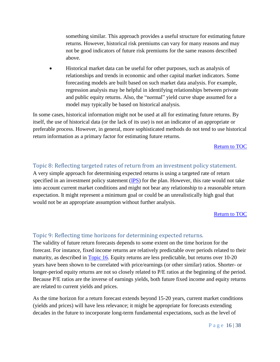something similar. This approach provides a useful structure for estimating future returns. However, historical risk premiums can vary for many reasons and may not be good indicators of future risk premiums for the same reasons described above.

• Historical market data can be useful for other purposes, such as analysis of relationships and trends in economic and other capital market indicators. Some forecasting models are built based on such market data analysis. For example, regression analysis may be helpful in identifying relationships between private and public equity returns. Also, the "normal" yield curve shape assumed for a model may typically be based on historical analysis.

In some cases, historical information might not be used at all for estimating future returns. By itself, the use of historical data (or the lack of its use) is not an indicator of an appropriate or preferable process. However, in general, more sophisticated methods do not tend to use historical return information as a primary factor for estimating future returns.

[Return to TOC](#page-3-0)

## <span id="page-15-0"></span>Topic 8: Reflecting targeted rates of return from an investment policy statement.

A very simple approach for determining expected returns is using a targeted rate of return specified in an investment policy statement  $(IPS)$  for the plan. However, this rate would not take into account current market conditions and might not bear any relationship to a reasonable return expectation. It might represent a minimum goal or could be an unrealistically high goal that would not be an appropriate assumption without further analysis.

[Return to](#page-3-0) TOC

# <span id="page-15-1"></span>Topic 9: Reflecting time horizons for determining expected returns.

The validity of future return forecasts depends to some extent on the time horizon for the forecast. For instance, fixed income returns are relatively predictable over periods related to their maturity, as described in [Topic](#page-21-0) 16. Equity returns are less predictable, but returns over 10-20 years have been shown to be correlated with price/earnings (or other similar) ratios. Shorter- or longer-period equity returns are not so closely related to P/E ratios at the beginning of the period. Because P/E ratios are the inverse of earnings yields, both future fixed income and equity returns are related to current yields and prices.

As the time horizon for a return forecast extends beyond 15-20 years, current market conditions (yields and prices) will have less relevance; it might be appropriate for forecasts extending decades in the future to incorporate long-term fundamental expectations, such as the level of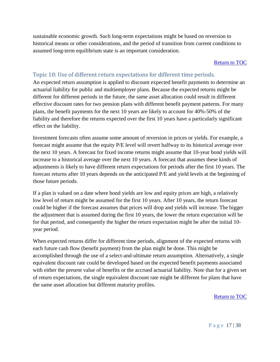sustainable economic growth. Such long-term expectations might be based on reversion to historical means or other considerations, and the period of transition from current conditions to assumed long-term equilibrium state is an important consideration.

#### [Return to TOC](#page-3-0)

#### <span id="page-16-0"></span>Topic 10: Use of different return expectations for different time periods.

An expected return assumption is applied to discount expected benefit payments to determine an actuarial liability for public and multiemployer plans. Because the expected returns might be different for different periods in the future, the same asset allocation could result in different effective discount rates for two pension plans with different benefit payment patterns. For many plans, the benefit payments for the next 10 years are likely to account for 40%-50% of the liability and therefore the returns expected over the first 10 years have a particularly significant effect on the liability.

Investment forecasts often assume some amount of reversion in prices or yields. For example, a forecast might assume that the equity P/E level will revert halfway to its historical average over the next 10 years. A forecast for fixed income returns might assume that 10-year bond yields will increase to a historical average over the next 10 years. A forecast that assumes these kinds of adjustments is likely to have different return expectations for periods after the first 10 years. The forecast returns after 10 years depends on the anticipated P/E and yield levels at the beginning of those future periods.

If a plan is valued on a date where bond yields are low and equity prices are high, a relatively low level of return might be assumed for the first 10 years. After 10 years, the return forecast could be higher if the forecast assumes that prices will drop and yields will increase. The bigger the adjustment that is assumed during the first 10 years, the lower the return expectation will be for that period, and consequently the higher the return expectation might be after the initial 10 year period.

When expected returns differ for different time periods, alignment of the expected returns with each future cash flow (benefit payment) from the plan might be done. This might be accomplished through the use of a select-and-ultimate return assumption. Alternatively, a single equivalent discount rate could be developed based on the expected benefit payments associated with either the present value of benefits or the accrued actuarial liability. Note that for a given set of return expectations, the single equivalent discount rate might be different for plans that have the same asset allocation but different maturity profiles.

[Return to TOC](#page-3-0)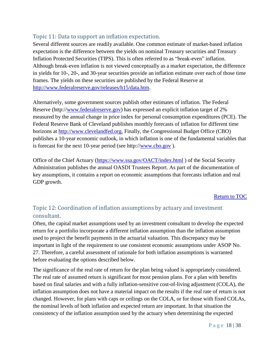## <span id="page-17-0"></span>Topic 11: Data to support an inflation expectation.

Several different sources are readily available. One common estimate of market-based inflation expectation is the difference between the yields on nominal Treasury securities and Treasury Inflation Protected Securities (TIPS). This is often referred to as "break-even" inflation. Although break-even inflation is not viewed conceptually as a market expectation, the difference in yields for 10-, 20-, and 30-year securities provide an inflation estimate over each of those time frames. The yields on these securities are published by the Federal Reserve at [http://www.federalreserve.gov/releases/h15/data.htm.](http://www.federalreserve.gov/releases/h15/data.htm)

Alternatively, some government sources publish other estimates of inflation. The Federal Reserve (http:/[/www.federalreserve.gov\)](http://www.federalreserve.gov/) has expressed an explicit inflation target of 2% measured by the annual change in price index for personal consumption expenditures (PCE). The Federal Reserve Bank of Cleveland publishes monthly forecasts of inflation for different time horizons at [http://www.clevelandfed.org.](http://www.clevelandfed.org/) Finally, the Congressional Budget Office (CBO) publishes a 10-year economic outlook, in which inflation is one of the fundamental variables that is forecast for the next 10-year period (see http:/[/www.cbo.gov](http://www.cbo.gov/) ).

Office of the Chief Actuary [\(https://www.ssa.gov/OACT/index.html](https://www.ssa.gov/OACT/index.html) ) of the Social Security Administration publishes the annual OASDI Trustees Report. As part of the documentation of key assumptions, it contains a report on economic assumptions that forecasts inflation and real GDP growth.

#### [Return to TOC](#page-3-0)

# <span id="page-17-1"></span>Topic 12: Coordination of inflation assumptions by actuary and investment consultant.

Often, the capital market assumptions used by an investment consultant to develop the expected return for a portfolio incorporate a different inflation assumption than the inflation assumption used to project the benefit payments in the actuarial valuation. This discrepancy may be important in light of the requirement to use consistent economic assumptions under ASOP No. 27. Therefore, a careful assessment of rationale for both inflation assumptions is warranted before evaluating the options described below.

The significance of the real rate of return for the plan being valued is appropriately considered. The real rate of assumed return is significant for most pension plans. For a plan with benefits based on final salaries and with a fully inflation-sensitive cost-of-living adjustment (COLA), the inflation assumption does not have a material impact on the results if the real rate of return is not changed. However, for plans with caps or ceilings on the COLA, or for those with fixed COLAs, the nominal levels of both inflation and expected return are important. In that situation the consistency of the inflation assumption used by the actuary when determining the expected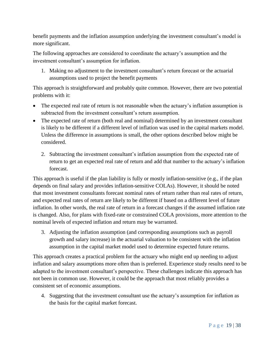benefit payments and the inflation assumption underlying the investment consultant's model is more significant.

The following approaches are considered to coordinate the actuary's assumption and the investment consultant's assumption for inflation.

1. Making no adjustment to the investment consultant's return forecast or the actuarial assumptions used to project the benefit payments

This approach is straightforward and probably quite common. However, there are two potential problems with it:

- The expected real rate of return is not reasonable when the actuary's inflation assumption is subtracted from the investment consultant's return assumption.
- The expected rate of return (both real and nominal) determined by an investment consultant is likely to be different if a different level of inflation was used in the capital markets model. Unless the difference in assumptions is small, the other options described below might be considered.
	- 2. Subtracting the investment consultant's inflation assumption from the expected rate of return to get an expected real rate of return and add that number to the actuary's inflation forecast.

This approach is useful if the plan liability is fully or mostly inflation-sensitive (e.g., if the plan depends on final salary and provides inflation-sensitive COLAs). However, it should be noted that most investment consultants forecast nominal rates of return rather than real rates of return, and expected real rates of return are likely to be different if based on a different level of future inflation. In other words, the real rate of return in a forecast changes if the assumed inflation rate is changed. Also, for plans with fixed-rate or constrained COLA provisions, more attention to the nominal levels of expected inflation and return may be warranted.

3. Adjusting the inflation assumption (and corresponding assumptions such as payroll growth and salary increase) in the actuarial valuation to be consistent with the inflation assumption in the capital market model used to determine expected future returns.

This approach creates a practical problem for the actuary who might end up needing to adjust inflation and salary assumptions more often than is preferred. Experience study results need to be adapted to the investment consultant's perspective. These challenges indicate this approach has not been in common use. However, it could be the approach that most reliably provides a consistent set of economic assumptions.

4. Suggesting that the investment consultant use the actuary's assumption for inflation as the basis for the capital market forecast.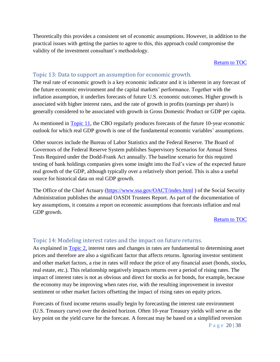Theoretically this provides a consistent set of economic assumptions. However, in addition to the practical issues with getting the parties to agree to this, this approach could compromise the validity of the investment consultant's methodology.

#### [Return to TOC](#page-3-0)

#### <span id="page-19-0"></span>Topic 13: Data to support an assumption for economic growth.

The real rate of economic growth is a key economic indicator and it is inherent in any forecast of the future economic environment and the capital markets' performance. Together with the inflation assumption, it underlies forecasts of future U.S. economic outcomes. Higher growth is associated with higher interest rates, and the rate of growth in profits (earnings per share) is generally considered to be associated with growth in Gross Domestic Product or GDP per capita.

As mentioned in [Topic](#page-17-0) 11, the CBO regularly produces forecasts of the future 10-year economic outlook for which real GDP growth is one of the fundamental economic variables' assumptions.

Other sources include the Bureau of Labor Statistics and the Federal Reserve. The Board of Governors of the Federal Reserve System publishes Supervisory Scenarios for Annual Stress Tests Required under the Dodd-Frank Act annually. The baseline scenario for this required testing of bank holdings companies gives some insight into the Fed's view of the expected future real growth of the GDP, although typically over a relatively short period. This is also a useful source for historical data on real GDP growth.

The Office of the Chief Actuary [\(https://www.ssa.gov/OACT/index.html](https://www.ssa.gov/OACT/index.html)) of the Social Security Administration publishes the annual OASDI Trustees Report. As part of the documentation of key assumptions, it contains a report on economic assumptions that forecasts inflation and real GDP growth.

[Return to TOC](#page-3-0)

#### <span id="page-19-2"></span><span id="page-19-1"></span>Topic 14: Modeling interest rates and the impact on future returns.

As explained in [Topic](#page-6-1) 2, interest rates and changes in rates are fundamental to determining asset prices and therefore are also a significant factor that affects returns. Ignoring investor sentiment and other market factors, a rise in rates will reduce the price of any financial asset (bonds, stocks, real estate, etc.). This relationship negatively impacts returns over a period of rising rates. The impact of interest rates is not as obvious and direct for stocks as for bonds, for example, because the economy may be improving when rates rise, with the resulting improvement in investor sentiment or other market factors offsetting the impact of rising rates on equity prices.

P a g e 20 | 38 Forecasts of fixed income returns usually begin by forecasting the interest rate environment (U.S. Treasury curve) over the desired horizon. Often 10-year Treasury yields will serve as the key point on the yield curve for the forecast. A forecast may be based on a simplified reversion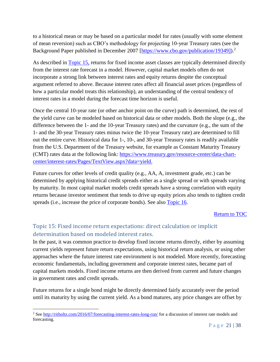to a historical mean or may be based on a particular model for rates (usually with some element of mean reversion) such as CBO's methodology for projecting 10-year Treasury rates (see the Background Paper published in December 2007 [\[https://www.cbo.gov/publication/19349\]](https://www.cbo.gov/publication/19349)).<sup>2</sup>

As described in [Topic](#page-20-0) 15, returns for fixed income asset classes are typically determined directly from the interest rate forecast in a model. However, capital market models often do not incorporate a strong link between interest rates and equity returns despite the conceptual argument referred to above. Because interest rates affect all financial asset prices (regardless of how a particular model treats this relationship), an understanding of the central tendency of interest rates in a model during the forecast time horizon is useful.

Once the central 10-year rate (or other anchor point on the curve) path is determined, the rest of the yield curve can be modeled based on historical data or other models. Both the slope (e.g., the difference between the 1- and the 10-year Treasury rates) and the curvature (e.g., the sum of the 1- and the 30-year Treasury rates minus twice the 10-year Treasury rate) are determined to fill out the entire curve. Historical data for 1-, 10-, and 30-year Treasury rates is readily available from the U.S. Department of the Treasury website, for example as Constant Maturity Treasury (CMT) rates data at the following link: [https://www.treasury.gov/resource-center/data-chart](https://www.treasury.gov/resource-center/data-chart-center/interest-rates/Pages/TextView.aspx?data=yield)[center/interest-rates/Pages/TextView.aspx?data=yield.](https://www.treasury.gov/resource-center/data-chart-center/interest-rates/Pages/TextView.aspx?data=yield)

Future curves for other levels of credit quality (e.g., AA, A, investment grade, etc.) can be determined by applying historical credit spreads either as a single spread or with spreads varying by maturity. In most capital market models credit spreads have a strong correlation with equity returns because investor sentiment that tends to drive up equity prices also tends to tighten credit spreads (i.e., increase the price of corporate bonds). See also [Topic](#page-21-0) 16.

#### [Return to TOC](#page-3-0)

# <span id="page-20-0"></span>Topic 15: Fixed income return expectations: direct calculation or implicit determination based on modeled interest rates.

In the past, it was common practice to develop fixed income returns directly, either by assuming current yields represent future return expectations, using historical return analysis, or using other approaches where the future interest rate environment is not modeled. More recently, forecasting economic fundamentals, including government and corporate interest rates, became part of capital markets models. Fixed income returns are then derived from current and future changes in government rates and credit spreads.

Future returns for a single bond might be directly determined fairly accurately over the period until its maturity by using the current yield. As a bond matures, any price changes are offset by

 $\overline{a}$ 

<sup>&</sup>lt;sup>2</sup> Se[e http://ritholtz.com/2016/07/forecasting-interest-rates-long-run/](http://ritholtz.com/2016/07/forecasting-interest-rates-long-run/) for a discussion of interest rate models and forecasting.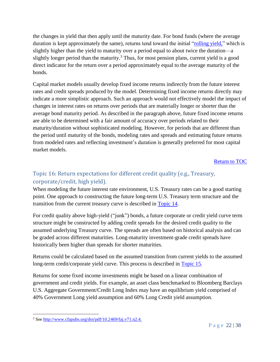the changes in yield that then apply until the maturity date. For bond funds (where the average duration is kept approximately the same), returns tend toward the initial ["rolling yield,](#page-35-0)" which is slightly higher than the yield to maturity over a period equal to about twice the duration—a slightly longer period than the maturity.<sup>3</sup> Thus, for most pension plans, current yield is a good direct indicator for the return over a period approximately equal to the average maturity of the bonds.

Capital market models usually develop fixed income returns indirectly from the future interest rates and credit spreads produced by the model. Determining fixed income returns directly may indicate a more simplistic approach. Such an approach would not effectively model the impact of changes in interest rates on returns over periods that are materially longer or shorter than the average bond maturity period. As described in the paragraph above, future fixed income returns are able to be determined with a fair amount of accuracy over periods related to their maturity/duration without sophisticated modeling. However, for periods that are different than the period until maturity of the bonds, modeling rates and spreads and estimating future returns from modeled rates and reflecting investment's duration is generally preferred for most capital market models.

[Return to TOC](#page-3-0)

# <span id="page-21-0"></span>Topic 16: Return expectations for different credit quality (e.g., Treasury, corporate/credit, high yield).

When modeling the future interest rate environment, U.S. Treasury rates can be a good starting point. One approach to constructing the future long-term U.S. Treasury term structure and the transition from the current treasury curve is described in [Topic](#page-19-2) 14.

For credit quality above high-yield ("junk") bonds, a future corporate or credit yield curve term structure might be constructed by adding credit spreads for the desired credit quality to the assumed underlying Treasury curve. The spreads are often based on historical analysis and can be graded across different maturities. Long-maturity investment-grade credit spreads have historically been higher than spreads for shorter maturities.

Returns could be calculated based on the assumed transition from current yields to the assumed long-term credit/corporate yield curve. This process is described in [Topic](#page-20-0) 15.

Returns for some fixed income investments might be based on a linear combination of government and credit yields. For example, an asset class benchmarked to Bloomberg Barclays U.S. Aggregate Government/Credit Long Index may have an equilibrium yield comprised of 40% Government Long yield assumption and 60% Long Credit yield assumption.

 $\overline{a}$ <sup>3</sup> Se[e http://www.cfapubs.org/doi/pdf/10.2469/faj.v71.n2.4.](http://www.cfapubs.org/doi/pdf/10.2469/faj.v71.n2.4)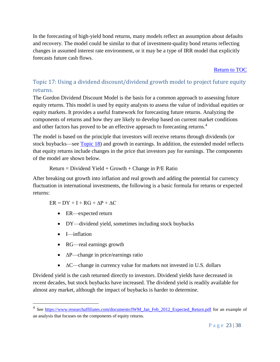In the forecasting of high-yield bond returns, many models reflect an assumption about defaults and recovery. The model could be similar to that of investment-quality bond returns reflecting changes in assumed interest rate environment, or it may be a type of IRR model that explicitly forecasts future cash flows.

[Return to TOC](#page-3-0)

# <span id="page-22-0"></span>Topic 17: Using a dividend discount/dividend growth model to project future equity returns.

The Gordon Dividend Discount Model is the basis for a common approach to assessing future equity returns. This model is used by equity analysts to assess the value of individual equities or equity markets. It provides a useful framework for forecasting future returns. Analyzing the components of returns and how they are likely to develop based on current market conditions and other factors has proved to be an effective approach to forecasting returns.<sup>4</sup>

The model is based on the principle that investors will receive returns through dividends (or stock buybacks—see Topic 18) and growth in earnings. In addition, the extended model reflects that equity returns include changes in the price that investors pay for earnings. The components of the model are shown below.

 $Return = Dividend Yield + Growth + Change in P/E Ratio$ 

After breaking out growth into inflation and real growth and adding the potential for currency fluctuation in international investments, the following is a basic formula for returns or expected returns:

 $ER = DY + I + RG + AP + AC$ 

- ER—expected return
- DY—dividend yield, sometimes including stock buybacks
- I—inflation

 $\overline{a}$ 

- RG—real earnings growth
- ∆P—change in price/earnings ratio
- ∆C—change in currency value for markets not invested in U.S. dollars

Dividend yield is the cash returned directly to investors. Dividend yields have decreased in recent decades, but stock buybacks have increased. The dividend yield is readily available for almost any market, although the impact of buybacks is harder to determine.

<sup>&</sup>lt;sup>4</sup> See [https://www.researchaffiliates.com/documents/IWM\\_Jan\\_Feb\\_2012\\_Expected\\_Return.pdf](https://www.researchaffiliates.com/documents/IWM_Jan_Feb_2012_Expected_Return.pdf) for an example of an analysis that focuses on the components of equity returns.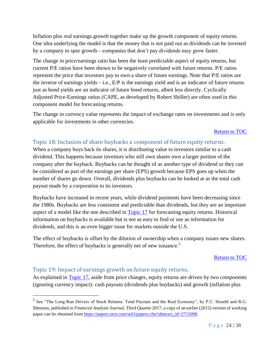Inflation plus real earnings growth together make up the growth component of equity returns. One idea underlying the model is that the money that is not paid out as dividends can be invested by a company to spur growth—companies that don't pay dividends may grow faster.

The change in price/earnings ratio has been the least predictable aspect of equity returns, but current P/E ratios have been shown to be negatively correlated with future returns. P/E ratios represent the price that investors pay to own a share of future earnings. Note that P/E ratios are the inverse of earnings yields—i.e., E/P is the earnings yield and is an indicator of future returns just as bond yields are an indicator of future bond returns, albeit less directly. Cyclically Adjusted Price-Earnings ratios (CAPE, as developed by Robert Shiller) are often used in this component model for forecasting returns.

The change in currency value represents the impact of exchange rates on investments and is only applicable for investments in other currencies.

#### [Return to TOC](#page-3-0)

#### <span id="page-23-0"></span>Topic 18: Inclusion of share buybacks a component of future equity returns.

When a company buys back its shares, it is distributing value to investors similar to a cash dividend. This happens because investors who still own shares own a larger portion of the company after the buyback. Buybacks can be thought of as another type of dividend or they can be considered as part of the earnings per share (EPS) growth because EPS goes up when the number of shares go down. Overall, dividends plus buybacks can be looked at as the total cash payout made by a corporation to its investors.

Buybacks have increased in recent years, while dividend payments have been decreasing since the 1980s. Buybacks are less consistent and predictable than dividends, but they are an important aspect of a model like the one described in [Topic](#page-22-0) 17 for forecasting equity returns. Historical information on buybacks is available but is not as easy to find or use as information for dividends, and this is an even bigger issue for markets outside the U.S.

The effect of buybacks is offset by the dilution of ownership when a company issues new shares. Therefore, the effect of buybacks is generally net of new issuance.<sup>5</sup>

#### [Return to TOC](#page-3-0)

#### <span id="page-23-1"></span>Topic 19: Impact of earnings growth on future equity returns.

 $\overline{a}$ 

As explained in [Topic](#page-22-0) 17, aside from price changes, equity returns are driven by two components (ignoring currency impact): cash payouts (dividends plus buybacks) and growth (inflation plus

<sup>&</sup>lt;sup>5</sup> See "The Long-Run Drivers of Stock Returns: Total Payouts and the Real Economy", by P.U. Straehl and R.G. Ibbotson, published in *Financial Analysts Journal*, Third Quarter 2017; a copy of an earlier (2015) version of working paper can be obtained from [https://papers.ssrn.com/sol3/papers.cfm?abstract\\_id=2715098.](https://papers.ssrn.com/sol3/papers.cfm?abstract_id=2715098)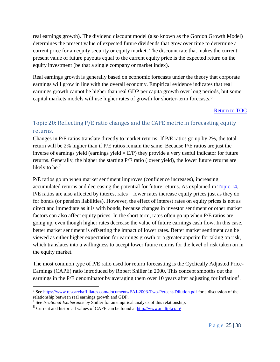real earnings growth). The dividend discount model (also known as the Gordon Growth Model) determines the present value of expected future dividends that grow over time to determine a current price for an equity security or equity market. The discount rate that makes the current present value of future payouts equal to the current equity price is the expected return on the equity investment (be that a single company or market index).

Real earnings growth is generally based on economic forecasts under the theory that corporate earnings will grow in line with the overall economy. Empirical evidence indicates that real earnings growth cannot be higher than real GDP per capita growth over long periods, but some capital markets models will use higher rates of growth for shorter-term forecasts.<sup>6</sup>

#### [Return to TOC](#page-3-0)

# <span id="page-24-0"></span>Topic 20: Reflecting P/E ratio changes and the CAPE metric in forecasting equity returns.

Changes in P/E ratios translate directly to market returns: If P/E ratios go up by 2%, the total return will be 2% higher than if P/E ratios remain the same. Because P/E ratios are just the inverse of earnings yield (earnings yield  $= E/P$ ) they provide a very useful indicator for future returns. Generally, the higher the starting P/E ratio (lower yield), the lower future returns are likely to be.<sup>7</sup>

P/E ratios go up when market sentiment improves (confidence increases), increasing accumulated returns and decreasing the potential for future returns. As explained in [Topic](#page-19-1) 14, P/E ratios are also affected by interest rates—lower rates increase equity prices just as they do for bonds (or pension liabilities). However, the effect of interest rates on equity prices is not as direct and immediate as it is with bonds, because changes in investor sentiment or other market factors can also affect equity prices. In the short term, rates often go up when P/E ratios are going up, even though higher rates decrease the value of future earnings cash flow. In this case, better market sentiment is offsetting the impact of lower rates. Better market sentiment can be viewed as either higher expectation for earnings growth or a greater appetite for taking on risk, which translates into a willingness to accept lower future returns for the level of risk taken on in the equity market.

The most common type of P/E ratio used for return forecasting is the Cyclically Adjusted Price-Earnings (CAPE) ratio introduced by Robert Shiller in 2000. This concept smooths out the earnings in the P/E denominator by averaging them over 10 years after adjusting for inflation<sup>8</sup>.

 $\overline{a}$ 

<sup>6</sup> Se[e https://www.researchaffiliates.com/documents/FAJ-2003-Two-Percent-Dilution.pdf](https://www.researchaffiliates.com/documents/FAJ-2003-Two-Percent-Dilution.pdf) for a discussion of the relationship between real earnings growth and GDP.

<sup>7</sup> See *Irrational Exuberance* by Shiller for an empirical analysis of this relationship.

<sup>8</sup> Current and historical values of CAPE can be found at<http://www.multpl.com/>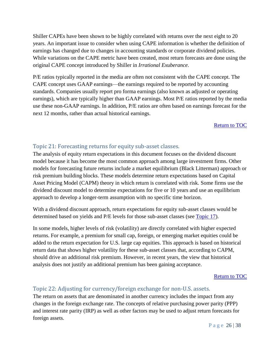Shiller CAPEs have been shown to be highly correlated with returns over the next eight to 20 years. An important issue to consider when using CAPE information is whether the definition of earnings has changed due to changes in accounting standards or corporate dividend policies. While variations on the CAPE metric have been created, most return forecasts are done using the original CAPE concept introduced by Shiller in *Irrational Exuberance*.

P/E ratios typically reported in the media are often not consistent with the CAPE concept. The CAPE concept uses GAAP earnings—the earnings required to be reported by accounting standards. Companies usually report pro forma earnings (also known as adjusted or operating earnings), which are typically higher than GAAP earnings. Most P/E ratios reported by the media use these non-GAAP earnings. In addition, P/E ratios are often based on earnings forecast for the next 12 months, rather than actual historical earnings.

[Return to TOC](#page-3-0)

## <span id="page-25-0"></span>Topic 21: Forecasting returns for equity sub-asset classes.

The analysis of equity return expectations in this document focuses on the dividend discount model because it has become the most common approach among large investment firms. Other models for forecasting future returns include a market equilibrium (Black Litterman) approach or risk premium building blocks. These models determine return expectations based on Capital Asset Pricing Model (CAPM) theory in which return is correlated with risk. Some firms use the dividend discount model to determine expectations for five or 10 years and use an equilibrium approach to develop a longer-term assumption with no specific time horizon.

With a dividend discount approach, return expectations for equity sub-asset classes would be determined based on yields and P/E levels for those sub-asset classes (see [Topic](#page-22-0) 17).

In some models, higher levels of risk (volatility) are directly correlated with higher expected returns. For example, a premium for small cap, foreign, or emerging market equities could be added to the return expectation for U.S. large cap equities. This approach is based on historical return data that shows higher volatility for these sub-asset classes that, according to CAPM, should drive an additional risk premium. However, in recent years, the view that historical analysis does not justify an additional premium has been gaining acceptance.

[Return to TOC](#page-3-0)

# <span id="page-25-1"></span>Topic 22: Adjusting for currency/foreign exchange for non-U.S. assets.

The return on assets that are denominated in another currency includes the impact from any changes in the foreign exchange rate. The concepts of relative purchasing power parity (PPP) and interest rate parity (IRP) as well as other factors may be used to adjust return forecasts for foreign assets.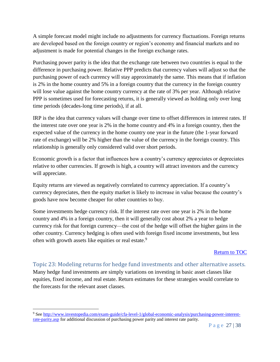A simple forecast model might include no adjustments for currency fluctuations. Foreign returns are developed based on the foreign country or region's economy and financial markets and no adjustment is made for potential changes in the foreign exchange rates.

Purchasing power parity is the idea that the exchange rate between two countries is equal to the difference in purchasing power. Relative PPP predicts that currency values will adjust so that the purchasing power of each currency will stay approximately the same. This means that if inflation is 2% in the home country and 5% in a foreign country that the currency in the foreign country will lose value against the home country currency at the rate of 3% per year. Although relative PPP is sometimes used for forecasting returns, it is generally viewed as holding only over long time periods (decades-long time periods), if at all.

IRP is the idea that currency values will change over time to offset differences in interest rates. If the interest rate over one year is 2% in the home country and 4% in a foreign country, then the expected value of the currency in the home country one year in the future (the 1-year forward rate of exchange) will be 2% higher than the value of the currency in the foreign country. This relationship is generally only considered valid over short periods.

Economic growth is a factor that influences how a country's currency appreciates or depreciates relative to other currencies. If growth is high, a country will attract investors and the currency will appreciate.

Equity returns are viewed as negatively correlated to currency appreciation. If a country's currency depreciates, then the equity market is likely to increase in value because the country's goods have now become cheaper for other countries to buy.

Some investments hedge currency risk. If the interest rate over one year is 2% in the home country and 4% in a foreign country, then it will generally cost about 2% a year to hedge currency risk for that foreign currency—the cost of the hedge will offset the higher gains in the other country. Currency hedging is often used with foreign fixed income investments, but less often with growth assets like equities or real estate.<sup>9</sup>

#### [Return to TOC](#page-3-0)

<span id="page-26-0"></span>Topic 23: Modeling returns for hedge fund investments and other alternative assets. Many hedge fund investments are simply variations on investing in basic asset classes like equities, fixed income, and real estate. Return estimates for these strategies would correlate to the forecasts for the relevant asset classes.

 $\overline{a}$ 

<sup>9</sup> Se[e http://www.investopedia.com/exam-guide/cfa-level-1/global-economic-analysis/purchasing-power-interest](http://www.investopedia.com/exam-guide/cfa-level-1/global-economic-analysis/purchasing-power-interest-rate-parity.asp)[rate-parity.asp](http://www.investopedia.com/exam-guide/cfa-level-1/global-economic-analysis/purchasing-power-interest-rate-parity.asp) for additional discussion of purchasing power parity and interest rate parity.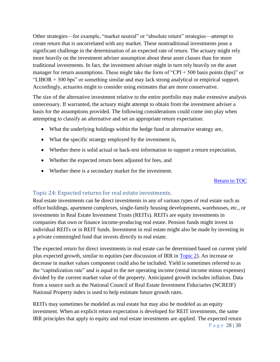Other strategies—for example, "market neutral" or "absolute return" strategies—attempt to create return that is uncorrelated with any market. These nontraditional investments pose a significant challenge in the determination of an expected rate of return. The actuary might rely more heavily on the investment adviser assumption about these asset classes than for more traditional investments. In fact, the investment adviser might in turn rely heavily on the asset manager for return assumptions. These might take the form of "CPI + 500 basis points (bps)" or "LIBOR + 300 bps" or something similar and may lack strong analytical or empirical support. Accordingly, actuaries might to consider using estimates that are more conservative.

The size of the alternative investment relative to the entire portfolio may make extensive analysis unnecessary. If warranted, the actuary might attempt to obtain from the investment adviser a basis for the assumptions provided. The following considerations could come into play when attempting to classify an alternative and set an appropriate return expectation:

- What the underlying holdings within the hedge fund or alternative strategy are,
- What the specific strategy employed by the investment is,
- Whether there is solid actual or back-test information to support a return expectation,
- Whether the expected return been adjusted for fees, and
- Whether there is a secondary market for the investment.

#### [Return to TOC](#page-3-0)

## <span id="page-27-0"></span>Topic 24: Expected returns for real estate investments.

Real estate investments can be direct investments in any of various types of real estate such as office buildings, apartment complexes, single-family housing developments, warehouses, etc., or investments in Real Estate Investment Trusts (REITs). REITs are equity investments in companies that own or finance income-producing real estate. Pension funds might invest in individual REITs or in REIT funds. Investment in real estate might also be made by investing in a private commingled fund that invests directly in real estate.

The expected return for direct investments in real estate can be determined based on current yield plus expected growth, similar to equities (see discussion of IRR in [Topic](#page-6-1) 2). An increase or decrease in market values component could also be included. Yield is sometimes referred to as the "capitalization rate" and is equal to the net operating income (rental income minus expenses) divided by the current market value of the property. Anticipated growth includes inflation. Data from a source such as the National Council of Real Estate Investment Fiduciaries (NCREIF) National Property index is used to help estimate future growth rates.

REITs may sometimes be modeled as real estate but may also be modeled as an equity investment. When an explicit return expectation is developed for REIT investments, the same IRR principles that apply to equity and real estate investments are applied. The expected return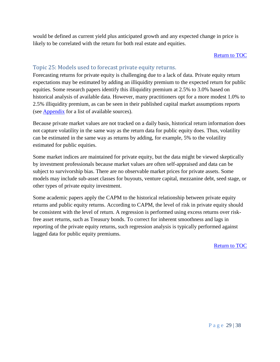would be defined as current yield plus anticipated growth and any expected change in price is likely to be correlated with the return for both real estate and equities.

#### [Return to TOC](#page-3-0)

#### <span id="page-28-0"></span>Topic 25: Models used to forecast private equity returns.

Forecasting returns for private equity is challenging due to a lack of data. Private equity return expectations may be estimated by adding an illiquidity premium to the expected return for public equities. Some research papers identify this illiquidity premium at 2.5% to 3.0% based on historical analysis of available data. However, many practitioners opt for a more modest 1.0% to 2.5% illiquidity premium, as can be seen in their published capital market assumptions reports (see [Appendix](#page-28-1) for a list of available sources).

Because private market values are not tracked on a daily basis, historical return information does not capture volatility in the same way as the return data for public equity does. Thus, volatility can be estimated in the same way as returns by adding, for example, 5% to the volatility estimated for public equities.

Some market indices are maintained for private equity, but the data might be viewed skeptically by investment professionals because market values are often self-appraised and data can be subject to survivorship bias. There are no observable market prices for private assets. Some models may include sub-asset classes for buyouts, venture capital, mezzanine debt, seed stage, or other types of private equity investment.

<span id="page-28-1"></span>Some academic papers apply the CAPM to the historical relationship between private equity returns and public equity returns. According to CAPM, the level of risk in private equity should be consistent with the level of return. A regression is performed using excess returns over riskfree asset returns, such as Treasury bonds. To correct for inherent smoothness and lags in reporting of the private equity returns, such regression analysis is typically performed against lagged data for public equity premiums.

[Return to TOC](#page-3-0)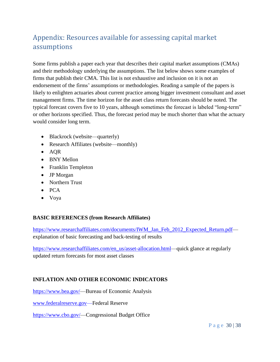# Appendix: Resources available for assessing capital market assumptions

Some firms publish a paper each year that describes their capital market assumptions (CMAs) and their methodology underlying the assumptions. The list below shows some examples of firms that publish their CMA. This list is not exhaustive and inclusion on it is not an endorsement of the firms' assumptions or methodologies. Reading a sample of the papers is likely to enlighten actuaries about current practice among bigger investment consultant and asset management firms. The time horizon for the asset class return forecasts should be noted. The typical forecast covers five to 10 years, although sometimes the forecast is labeled "long-term" or other horizons specified. Thus, the forecast period may be much shorter than what the actuary would consider long term.

- Blackrock (website—quarterly)
- Research Affiliates (website—monthly)
- AQR
- BNY Mellon
- Franklin Templeton
- JP Morgan
- Northern Trust
- PCA
- Voya

## **BASIC REFERENCES (from Research Affiliates)**

[https://www.researchaffiliates.com/documents/IWM\\_Jan\\_Feb\\_2012\\_Expected\\_Return.pdf](https://www.researchaffiliates.com/documents/IWM_Jan_Feb_2012_Expected_Return.pdf) explanation of basic forecasting and back-testing of results

[https://www.researchaffiliates.com/en\\_us/asset-allocation.html—](https://www.researchaffiliates.com/en_us/asset-allocation.html)quick glance at regularly updated return forecasts for most asset classes

## **INFLATION AND OTHER ECONOMIC INDICATORS**

[https://www.bea.gov/—](https://www.bea.gov/)Bureau of Economic Analysis

[www.federalreserve.gov—](http://www.federalreserve.gov/)Federal Reserve

[https://www.cbo.gov/—](https://www.cbo.gov/)Congressional Budget Office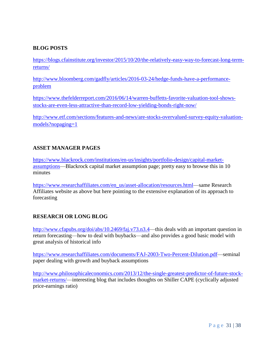## **BLOG POSTS**

[https://blogs.cfainstitute.org/investor/2015/10/20/the-relatively-easy-way-to-forecast-long-term](https://blogs.cfainstitute.org/investor/2015/10/20/the-relatively-easy-way-to-forecast-long-term-returns/)[returns/](https://blogs.cfainstitute.org/investor/2015/10/20/the-relatively-easy-way-to-forecast-long-term-returns/)

[http://www.bloomberg.com/gadfly/articles/2016-03-24/hedge-funds-have-a-performance](http://www.bloomberg.com/gadfly/articles/2016-03-24/hedge-funds-have-a-performance-problem)[problem](http://www.bloomberg.com/gadfly/articles/2016-03-24/hedge-funds-have-a-performance-problem)

[https://www.thefelderreport.com/2016/06/14/warren-buffetts-favorite-valuation-tool-shows](https://www.thefelderreport.com/2016/06/14/warren-buffetts-favorite-valuation-tool-shows-stocks-are-even-less-attractive-than-record-low-yielding-bonds-right-now/)[stocks-are-even-less-attractive-than-record-low-yielding-bonds-right-now/](https://www.thefelderreport.com/2016/06/14/warren-buffetts-favorite-valuation-tool-shows-stocks-are-even-less-attractive-than-record-low-yielding-bonds-right-now/)

[http://www.etf.com/sections/features-and-news/are-stocks-overvalued-survey-equity-valuation](http://www.etf.com/sections/features-and-news/are-stocks-overvalued-survey-equity-valuation-models?nopaging=1)[models?nopaging=1](http://www.etf.com/sections/features-and-news/are-stocks-overvalued-survey-equity-valuation-models?nopaging=1)

#### **ASSET MANAGER PAGES**

[https://www.blackrock.com/institutions/en-us/insights/portfolio-design/capital-market](https://www.blackrock.com/institutions/en-us/insights/portfolio-design/capital-market-assumptions)[assumptions—](https://www.blackrock.com/institutions/en-us/insights/portfolio-design/capital-market-assumptions)Blackrock capital market assumption page; pretty easy to browse this in 10 minutes

[https://www.researchaffiliates.com/en\\_us/asset-allocation/resources.html—](https://www.researchaffiliates.com/en_us/asset-allocation/resources.html)same Research Affiliates website as above but here pointing to the extensive explanation of its approach to forecasting

#### **RESEARCH OR LONG BLOG**

[http://www.cfapubs.org/doi/abs/10.2469/faj.v73.n3.4—](http://www.cfapubs.org/doi/abs/10.2469/faj.v73.n3.4)this deals with an important question in return forecasting—how to deal with buybacks—and also provides a good basic model with great analysis of historical info

[https://www.researchaffiliates.com/documents/FAJ-2003-Two-Percent-Dilution.pdf—](https://www.researchaffiliates.com/documents/FAJ-2003-Two-Percent-Dilution.pdf)seminal paper dealing with growth and buyback assumptions

<span id="page-30-0"></span>[http://www.philosophicaleconomics.com/2013/12/the-single-greatest-predictor-of-future-stock](http://www.philosophicaleconomics.com/2013/12/the-single-greatest-predictor-of-future-stock-market-returns/)[market-returns/—](http://www.philosophicaleconomics.com/2013/12/the-single-greatest-predictor-of-future-stock-market-returns/)interesting blog that includes thoughts on Shiller CAPE (cyclically adjusted price-earnings ratio)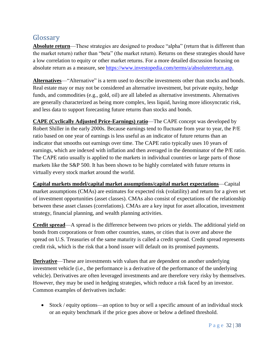# Glossary

**Absolute return**—These strategies are designed to produce "alpha" (return that is different than the market return) rather than "beta" (the market return). Returns on these strategies should have a low correlation to equity or other market returns. For a more detailed discussion focusing on absolute return as a measure, see [https://www.investopedia.com/terms/a/absolutereturn.asp.](https://www.investopedia.com/terms/a/absolutereturn.asp)

**Alternatives**—"Alternative" is a term used to describe investments other than stocks and bonds. Real estate may or may not be considered an alternative investment, but private equity, hedge funds, and commodities (e.g., gold, oil) are all labeled as alternative investments. Alternatives are generally characterized as being more complex, less liquid, having more idiosyncratic risk, and less data to support forecasting future returns than stocks and bonds.

**CAPE (Cyclically Adjusted Price-Earnings) ratio**—The CAPE concept was developed by Robert Shiller in the early 2000s. Because earnings tend to fluctuate from year to year, the P/E ratio based on one year of earnings is less useful as an indicator of future returns than an indicator that smooths out earnings over time. The CAPE ratio typically uses 10 years of earnings, which are indexed with inflation and then averaged in the denominator of the P/E ratio. The CAPE ratio usually is applied to the markets in individual countries or large parts of those markets like the S&P 500. It has been shown to be highly correlated with future returns in virtually every stock market around the world.

<span id="page-31-0"></span>**Capital markets model/capital market assumptions/capital market expectations**—Capital market assumptions (CMAs) are estimates for expected risk (volatility) and return for a given set of investment opportunities (asset classes). CMAs also consist of expectations of the relationship between these asset classes (correlations). CMAs are a key input for asset allocation, investment strategy, financial planning, and wealth planning activities.

**Credit spread**—A spread is the difference between two prices or yields. The additional yield on bonds from corporations or from other countries, states, or cities that is over and above the spread on U.S. Treasuries of the same maturity is called a credit spread. Credit spread represents credit risk, which is the risk that a bond issuer will default on its promised payments.

**Derivative**—These are investments with values that are dependent on another underlying investment vehicle (i.e., the performance is a derivative of the performance of the underlying vehicle). Derivatives are often leveraged investments and are therefore very risky by themselves. However, they may be used in hedging strategies, which reduce a risk faced by an investor. Common examples of derivatives include:

• Stock / equity options—an option to buy or sell a specific amount of an individual stock or an equity benchmark if the price goes above or below a defined threshold.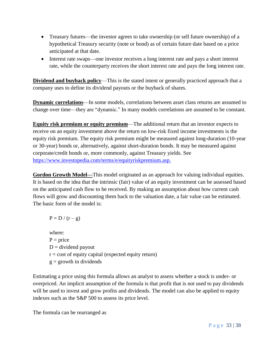- Treasury futures—the investor agrees to take ownership (or sell future ownership) of a hypothetical Treasury security (note or bond) as of certain future date based on a price anticipated at that date.
- Interest rate swaps—one investor receives a long interest rate and pays a short interest rate, while the counterparty receives the short interest rate and pays the long interest rate.

**Dividend and buyback policy—This is the stated intent or generally practiced approach that a** company uses to define its dividend payouts or the buyback of shares.

**Dynamic correlations**—In some models, correlations between asset class returns are assumed to change over time—they are "dynamic." In many models correlations are assumed to be constant.

**Equity risk premium or equity premium**—The additional return that an investor expects to receive on an equity investment above the return on low-risk fixed income investments is the equity risk premium. The equity risk premium might be measured against long-duration (10-year or 30-year) bonds or, alternatively, against short-duration bonds. It may be measured against corporate/credit bonds or, more commonly, against Treasury yields. See [https://www.investopedia.com/terms/e/equityriskpremium.asp.](https://www.investopedia.com/terms/e/equityriskpremium.asp)

**Gordon Growth Model—**This model originated as an approach for valuing individual equities. It is based on the idea that the intrinsic (fair) value of an equity investment can be assessed based on the anticipated cash flow to be received. By making an assumption about how current cash flows will grow and discounting them back to the valuation date, a fair value can be estimated. The basic form of the model is:

$$
P=D\mathbin{/}(r-g)
$$

where:  $P = price$  $D =$  dividend payout  $r = \text{cost of equity capital (expected equity return)}$  $g =$  growth in dividends

Estimating a price using this formula allows an analyst to assess whether a stock is under- or overpriced. An implicit assumption of the formula is that profit that is not used to pay dividends will be used to invest and grow profits and dividends. The model can also be applied to equity indexes such as the S&P 500 to assess its price level.

The formula can be rearranged as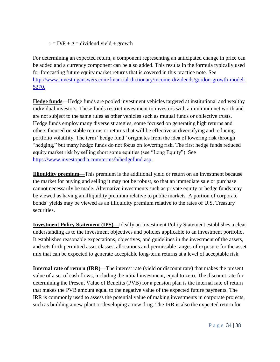$r = D/P + g =$  dividend yield + growth

For determining an expected return, a component representing an anticipated change in price can be added and a currency component can be also added. This results in the formula typically used for forecasting future equity market returns that is covered in this practice note. See [http://www.investinganswers.com/financial-dictionary/income-dividends/gordon-growth-model-](http://www.investinganswers.com/financial-dictionary/income-dividends/gordon-growth-model-5270)[5270.](http://www.investinganswers.com/financial-dictionary/income-dividends/gordon-growth-model-5270)

**Hedge funds**—Hedge funds are pooled investment vehicles targeted at institutional and wealthy individual investors. These funds restrict investment to investors with a minimum net worth and are not subject to the same rules as other vehicles such as mutual funds or collective trusts. Hedge funds employ many diverse strategies, some focused on generating high returns and others focused on stable returns or returns that will be effective at diversifying and reducing portfolio volatility. The term "hedge fund" originates from the idea of lowering risk through "hedging," but many hedge funds do not focus on lowering risk. The first hedge funds reduced equity market risk by selling short some equities (see "Long Equity"). See [https://www.investopedia.com/terms/h/hedgefund.asp.](https://www.investopedia.com/terms/h/hedgefund.asp)

**Illiquidity premium**—This premium is the additional yield or return on an investment because the market for buying and selling it may not be robust, so that an immediate sale or purchase cannot necessarily be made. Alternative investments such as private equity or hedge funds may be viewed as having an illiquidity premium relative to public markets. A portion of corporate bonds' yields may be viewed as an illiquidity premium relative to the rates of U.S. Treasury securities.

**Investment Policy Statement (IPS)—**Ideally an Investment Policy Statement establishes a clear understanding as to the investment objectives and policies applicable to an investment portfolio. It establishes reasonable expectations, objectives, and guidelines in the investment of the assets, and sets forth permitted asset classes, allocations and permissible ranges of exposure for the asset mix that can be expected to generate acceptable long-term returns at a level of acceptable risk

<span id="page-33-0"></span>**Internal rate of return (IRR)—The interest rate (yield or discount rate) that makes the present** value of a set of cash flows, including the initial investment, equal to zero. The discount rate for determining the Present Value of Benefits (PVB) for a pension plan is the internal rate of return that makes the PVB amount equal to the negative value of the expected future payments. The IRR is commonly used to assess the potential value of making investments in corporate projects, such as building a new plant or developing a new drug. The IRR is also the expected return for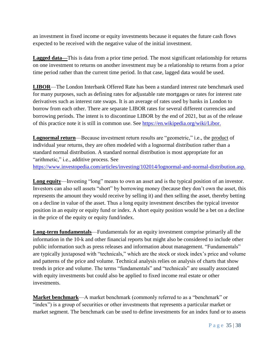an investment in fixed income or equity investments because it equates the future cash flows expected to be received with the negative value of the initial investment.

**Lagged data—**This is data from a prior time period. The most significant relationship for returns on one investment to returns on another investment may be a relationship to returns from a prior time period rather than the current time period. In that case, lagged data would be used.

**LIBOR**—The London Interbank Offered Rate has been a standard interest rate benchmark used for many purposes, such as defining rates for adjustable rate mortgages or rates for interest rate derivatives such as interest rate swaps. It is an average of rates used by banks in London to borrow from each other. There are separate LIBOR rates for several different currencies and borrowing periods. The intent is to discontinue LIBOR by the end of 2021, but as of the release of this practice note it is still in common use. See [https://en.wikipedia.org/wiki/Libor.](https://en.wikipedia.org/wiki/Libor)

**Lognormal return**—Because investment return results are "geometric," i.e., the product of individual year returns, they are often modeled with a lognormal distribution rather than a standard normal distribution. A standard normal distribution is most appropriate for an "arithmetic," i.e., additive process. See [https://www.investopedia.com/articles/investing/102014/lognormal-and-normal-distribution.asp.](https://www.investopedia.com/articles/investing/102014/lognormal-and-normal-distribution.asp)

**Long equity**—Investing "long" means to own an asset and is the typical position of an investor. Investors can also sell assets "short" by borrowing money (because they don't own the asset, this represents the amount they would receive by selling it) and then selling the asset, thereby betting on a decline in value of the asset. Thus a long equity investment describes the typical investor position in an equity or equity fund or index. A short equity position would be a bet on a decline in the price of the equity or equity fund/index.

**Long-term fundamentals**—Fundamentals for an equity investment comprise primarily all the information in the 10-k and other financial reports but might also be considered to include other public information such as press releases and information about management. "Fundamentals" are typically juxtaposed with "technicals," which are the stock or stock index's price and volume and patterns of the price and volume. Technical analysis relies on analysis of charts that show trends in price and volume. The terms "fundamentals" and "technicals" are usually associated with equity investments but could also be applied to fixed income real estate or other investments.

**Market benchmark**—A market benchmark (commonly referred to as a "benchmark" or "index") is a group of securities or other investments that represents a particular market or market segment. The benchmark can be used to define investments for an index fund or to assess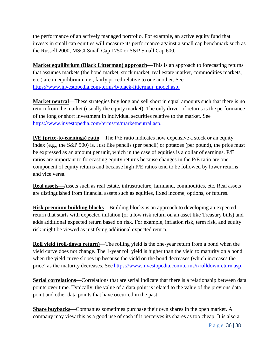the performance of an actively managed portfolio. For example, an active equity fund that invests in small cap equities will measure its performance against a small cap benchmark such as the Russell 2000, MSCI Small Cap 1750 or S&P Small Cap 600.

**Market equilibrium (Black Litterman) approach**—This is an approach to forecasting returns that assumes markets (the bond market, stock market, real estate market, commodities markets, etc.) are in equilibrium, i.e., fairly priced relative to one another. See [https://www.investopedia.com/terms/b/black-litterman\\_model.asp.](https://www.investopedia.com/terms/b/black-litterman_model.asp)

**Market neutral**—These strategies buy long and sell short in equal amounts such that there is no return from the market (usually the equity market). The only driver of returns is the performance of the long or short investment in individual securities relative to the market. See [https://www.investopedia.com/terms/m/marketneutral.asp.](https://www.investopedia.com/terms/m/marketneutral.asp)

**P/E (price-to-earnings) ratio**—The P/E ratio indicates how expensive a stock or an equity index (e.g., the S&P 500) is. Just like pencils (per pencil) or potatoes (per pound), the price must be expressed as an amount per unit, which in the case of equities is a dollar of earnings. P/E ratios are important to forecasting equity returns because changes in the P/E ratio are one component of equity returns and because high P/E ratios tend to be followed by lower returns and vice versa.

**Real assets—**Assets such as real estate, infrastructure, farmland, commodities, etc. Real assets are distinguished from financial assets such as equities, fixed income, options, or futures.

**Risk premium building blocks**—Building blocks is an approach to developing an expected return that starts with expected inflation (or a low risk return on an asset like Treasury bills) and adds additional expected return based on risk. For example, inflation risk, term risk, and equity risk might be viewed as justifying additional expected return.

<span id="page-35-0"></span>**Roll yield (roll-down return)**—The rolling yield is the one-year return from a bond when the yield curve does not change. The 1-year roll yield is higher than the yield to maturity on a bond when the yield curve slopes up because the yield on the bond decreases (which increases the price) as the maturity decreases. See [https://www.investopedia.com/terms/r/rolldownreturn.asp.](https://www.investopedia.com/terms/r/rolldownreturn.asp)

**Serial correlations**—Correlations that are serial indicate that there is a relationship between data points over time. Typically, the value of a data point is related to the value of the previous data point and other data points that have occurred in the past.

**Share buybacks**—Companies sometimes purchase their own shares in the open market. A company may view this as a good use of cash if it perceives its shares as too cheap. It is also a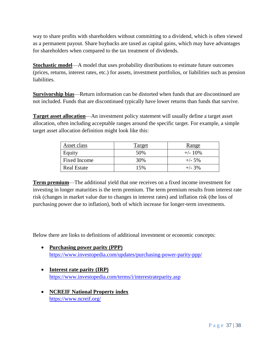way to share profits with shareholders without committing to a dividend, which is often viewed as a permanent payout. Share buybacks are taxed as capital gains, which may have advantages for shareholders when compared to the tax treatment of dividends.

**Stochastic model**—A model that uses probability distributions to estimate future outcomes (prices, returns, interest rates, etc.) for assets, investment portfolios, or liabilities such as pension liabilities.

**Survivorship bias**—Return information can be distorted when funds that are discontinued are not included. Funds that are discontinued typically have lower returns than funds that survive.

**Target asset allocation**—An investment policy statement will usually define a target asset allocation, often including acceptable ranges around the specific target. For example, a simple target asset allocation definition might look like this:

| Asset class        | <b>Target</b> | Range      |
|--------------------|---------------|------------|
| Equity             | 50%           | $+/- 10\%$ |
| Fixed Income       | 30%           | $+/- 5\%$  |
| <b>Real Estate</b> | 15%           | $+/- 3\%$  |

**Term premium**—The additional yield that one receives on a fixed income investment for investing in longer maturities is the term premium. The term premium results from interest rate risk (changes in market value due to changes in interest rates) and inflation risk (the loss of purchasing power due to inflation), both of which increase for longer-term investments.

Below there are links to definitions of additional investment or economic concepts:

- **Purchasing power parity (PPP)** <https://www.investopedia.com/updates/purchasing-power-parity-ppp/>
- **Interest rate parity (IRP)** <https://www.investopedia.com/terms/i/interestrateparity.asp>
- **NCREIF National Property index** <https://www.ncreif.org/>